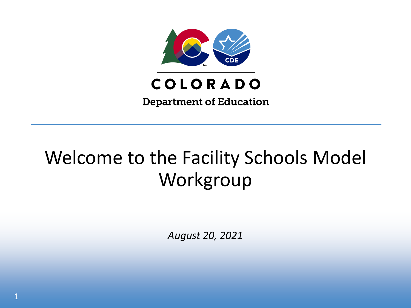

## **Department of Education**

# Welcome to the Facility Schools Model Workgroup

*August 20, 2021*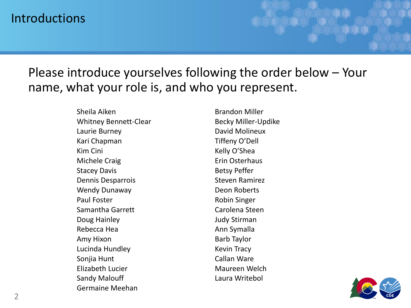#### Introductions

#### Please introduce yourselves following the order below – Your name, what your role is, and who you represent.

Sheila Aiken **Brandon Miller** Whitney Bennett-Clear Becky Miller-Updike Laurie Burney **David Molineux** Kari Chapman Tiffeny O'Dell Kim Cini Kelly O'Shea Michele Craig **Example 20 Frin Osterhaus** Erin Osterhaus Stacey Davis **Betsy Peffer** Dennis Desparrois **Steven Ramirez** Wendy Dunaway **Deon Roberts** Paul Foster **Robin Singer** Robin Singer Samantha Garrett Carolena Steen Doug Hainley **Communist Communist Communist Communist Communist Communist Communist Communist Communist Communist Communist Communist Communist Communist Communist Communist Communist Communist Communist Communist Communis** Rebecca Hea Ann Symalla Amy Hixon Barb Taylor Lucinda Hundley **Kevin Tracy** Sonjia Hunt Callan Ware Elizabeth Lucier **Maureen Welch** Sandy Malouff **Laura Writebol** Germaine Meehan

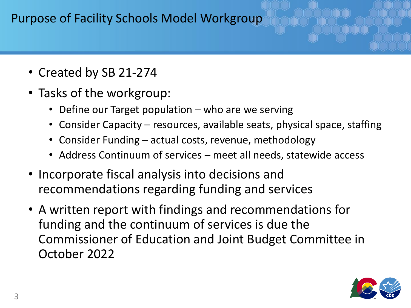### Purpose of Facility Schools Model Workgroup

- Created by SB 21-274
- Tasks of the workgroup:
	- Define our Target population who are we serving
	- Consider Capacity resources, available seats, physical space, staffing
	- Consider Funding actual costs, revenue, methodology
	- Address Continuum of services meet all needs, statewide access
- Incorporate fiscal analysis into decisions and recommendations regarding funding and services
- A written report with findings and recommendations for funding and the continuum of services is due the Commissioner of Education and Joint Budget Committee in October 2022

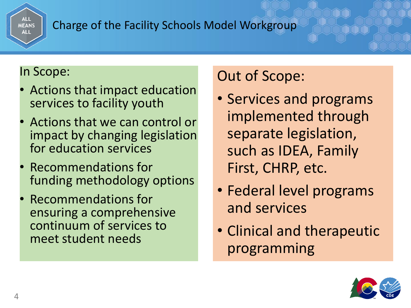

#### Charge of the Facility Schools Model Workgroup

#### In Scope:

- Actions that impact education services to facility youth
- Actions that we can control or impact by changing legislation for education services
- Recommendations for funding methodology options
- Recommendations for ensuring a comprehensive continuum of services to meet student needs

# Out of Scope:

- Services and programs implemented through separate legislation, such as IDEA, Family First, CHRP, etc.
- Federal level programs and services
- Clinical and therapeutic programming

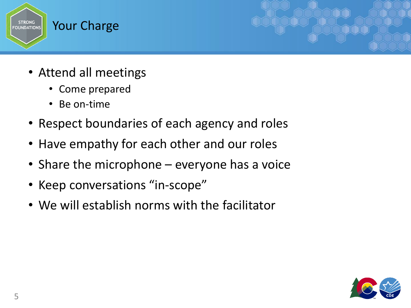

- Attend all meetings
	- Come prepared
	- Be on-time
- Respect boundaries of each agency and roles
- Have empathy for each other and our roles
- Share the microphone everyone has a voice
- Keep conversations "in-scope"
- We will establish norms with the facilitator

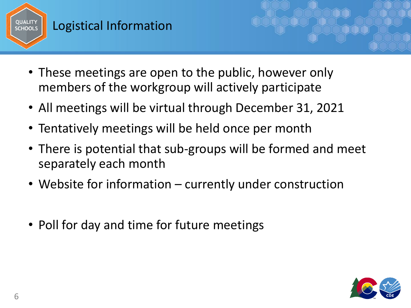

### Logistical Information

- These meetings are open to the public, however only members of the workgroup will actively participate
- All meetings will be virtual through December 31, 2021
- Tentatively meetings will be held once per month
- There is potential that sub-groups will be formed and meet separately each month
- Website for information currently under construction
- Poll for day and time for future meetings

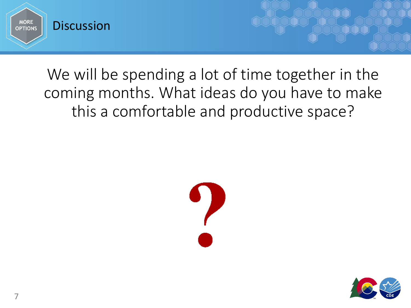

# We will be spending a lot of time together in the coming months. What ideas do you have to make this a comfortable and productive space?